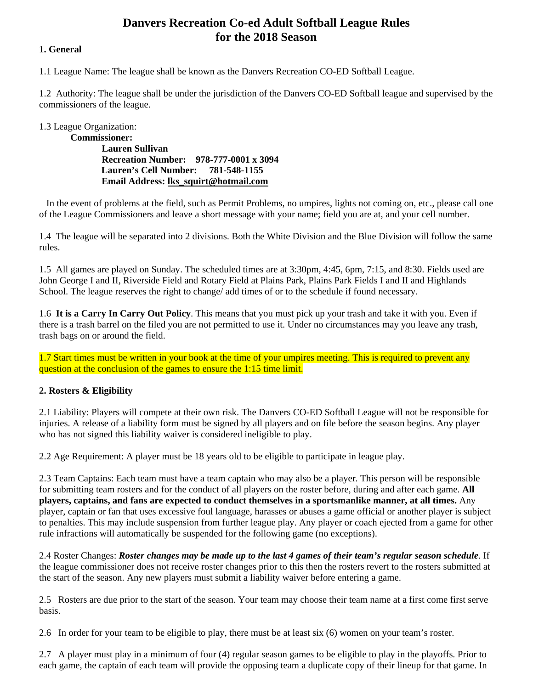# **Danvers Recreation Co-ed Adult Softball League Rules for the 2018 Season**

## **1. General**

1.1 League Name: The league shall be known as the Danvers Recreation CO-ED Softball League.

1.2 Authority: The league shall be under the jurisdiction of the Danvers CO-ED Softball league and supervised by the commissioners of the league.

1.3 League Organization:

**Commissioner: Lauren Sullivan Recreation Number: 978-777-0001 x 3094 Lauren's Cell Number: 781-548-1155 Email Address: lks\_squirt@hotmail.com** 

 In the event of problems at the field, such as Permit Problems, no umpires, lights not coming on, etc., please call one of the League Commissioners and leave a short message with your name; field you are at, and your cell number.

1.4 The league will be separated into 2 divisions. Both the White Division and the Blue Division will follow the same rules.

1.5 All games are played on Sunday. The scheduled times are at 3:30pm, 4:45, 6pm, 7:15, and 8:30. Fields used are John George I and II, Riverside Field and Rotary Field at Plains Park, Plains Park Fields I and II and Highlands School. The league reserves the right to change/ add times of or to the schedule if found necessary.

1.6 **It is a Carry In Carry Out Policy**. This means that you must pick up your trash and take it with you. Even if there is a trash barrel on the filed you are not permitted to use it. Under no circumstances may you leave any trash, trash bags on or around the field.

1.7 Start times must be written in your book at the time of your umpires meeting. This is required to prevent any question at the conclusion of the games to ensure the 1:15 time limit.

## **2. Rosters & Eligibility**

2.1 Liability: Players will compete at their own risk. The Danvers CO-ED Softball League will not be responsible for injuries. A release of a liability form must be signed by all players and on file before the season begins. Any player who has not signed this liability waiver is considered ineligible to play.

2.2 Age Requirement: A player must be 18 years old to be eligible to participate in league play.

2.3 Team Captains: Each team must have a team captain who may also be a player. This person will be responsible for submitting team rosters and for the conduct of all players on the roster before, during and after each game. **All players, captains, and fans are expected to conduct themselves in a sportsmanlike manner, at all times.** Any player, captain or fan that uses excessive foul language, harasses or abuses a game official or another player is subject to penalties. This may include suspension from further league play. Any player or coach ejected from a game for other rule infractions will automatically be suspended for the following game (no exceptions).

2.4 Roster Changes: *Roster changes may be made up to the last 4 games of their team's regular season schedule*. If the league commissioner does not receive roster changes prior to this then the rosters revert to the rosters submitted at the start of the season. Any new players must submit a liability waiver before entering a game.

2.5 Rosters are due prior to the start of the season. Your team may choose their team name at a first come first serve basis.

2.6 In order for your team to be eligible to play, there must be at least six (6) women on your team's roster.

2.7 A player must play in a minimum of four (4) regular season games to be eligible to play in the playoffs. Prior to each game, the captain of each team will provide the opposing team a duplicate copy of their lineup for that game. In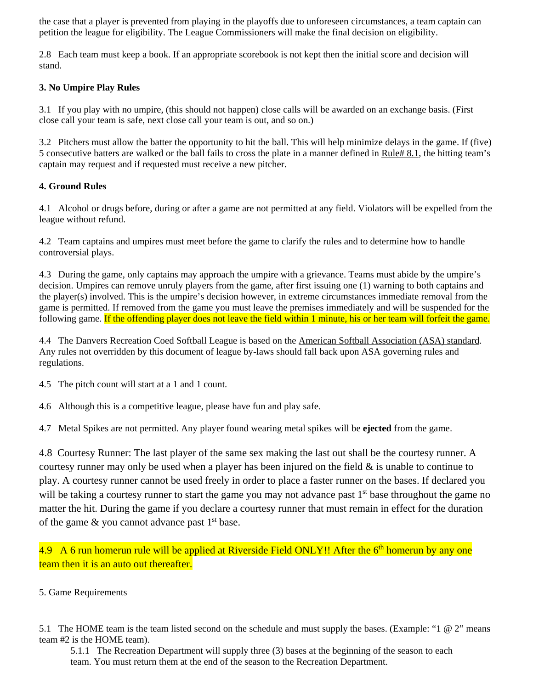the case that a player is prevented from playing in the playoffs due to unforeseen circumstances, a team captain can petition the league for eligibility. The League Commissioners will make the final decision on eligibility.

2.8 Each team must keep a book. If an appropriate scorebook is not kept then the initial score and decision will stand.

## **3. No Umpire Play Rules**

3.1 If you play with no umpire, (this should not happen) close calls will be awarded on an exchange basis. (First close call your team is safe, next close call your team is out, and so on.)

3.2 Pitchers must allow the batter the opportunity to hit the ball. This will help minimize delays in the game. If (five) 5 consecutive batters are walked or the ball fails to cross the plate in a manner defined in Rule# 8.1, the hitting team's captain may request and if requested must receive a new pitcher.

## **4. Ground Rules**

4.1 Alcohol or drugs before, during or after a game are not permitted at any field. Violators will be expelled from the league without refund.

4.2 Team captains and umpires must meet before the game to clarify the rules and to determine how to handle controversial plays.

4.3 During the game, only captains may approach the umpire with a grievance. Teams must abide by the umpire's decision. Umpires can remove unruly players from the game, after first issuing one (1) warning to both captains and the player(s) involved. This is the umpire's decision however, in extreme circumstances immediate removal from the game is permitted. If removed from the game you must leave the premises immediately and will be suspended for the following game. If the offending player does not leave the field within 1 minute, his or her team will forfeit the game.

4.4 The Danvers Recreation Coed Softball League is based on the American Softball Association (ASA) standard. Any rules not overridden by this document of league by-laws should fall back upon ASA governing rules and regulations.

4.5 The pitch count will start at a 1 and 1 count.

4.6 Although this is a competitive league, please have fun and play safe.

4.7 Metal Spikes are not permitted. Any player found wearing metal spikes will be **ejected** from the game.

4.8 Courtesy Runner: The last player of the same sex making the last out shall be the courtesy runner. A courtesy runner may only be used when a player has been injured on the field  $\&$  is unable to continue to play. A courtesy runner cannot be used freely in order to place a faster runner on the bases. If declared you will be taking a courtesy runner to start the game you may not advance past  $1<sup>st</sup>$  base throughout the game no matter the hit. During the game if you declare a courtesy runner that must remain in effect for the duration of the game  $\&$  you cannot advance past  $1<sup>st</sup>$  base.

4.9 A 6 run homerun rule will be applied at Riverside Field ONLY!! After the  $6<sup>th</sup>$  homerun by any one team then it is an auto out thereafter.

#### 5. Game Requirements

5.1 The HOME team is the team listed second on the schedule and must supply the bases. (Example: "1 @ 2" means team #2 is the HOME team).

5.1.1 The Recreation Department will supply three (3) bases at the beginning of the season to each team. You must return them at the end of the season to the Recreation Department.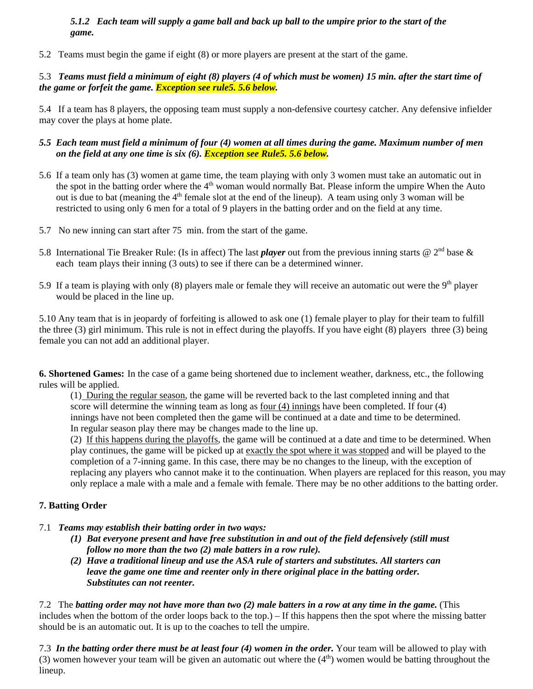## *5.1.2 Each team will supply a game ball and back up ball to the umpire prior to the start of the game.*

5.2 Teams must begin the game if eight (8) or more players are present at the start of the game.

## 5.3 *Teams must field a minimum of eight (8) players (4 of which must be women) 15 min. after the start time of the game or forfeit the game. Exception see rule5. 5.6 below.*

5.4 If a team has 8 players, the opposing team must supply a non-defensive courtesy catcher. Any defensive infielder may cover the plays at home plate.

## *5.5 Each team must field a minimum of four (4) women at all times during the game. Maximum number of men on the field at any one time is six (6). Exception see Rule5. 5.6 below.*

- 5.6 If a team only has (3) women at game time, the team playing with only 3 women must take an automatic out in the spot in the batting order where the 4<sup>th</sup> woman would normally Bat. Please inform the umpire When the Auto out is due to bat (meaning the  $4<sup>th</sup>$  female slot at the end of the lineup). A team using only 3 woman will be restricted to using only 6 men for a total of 9 players in the batting order and on the field at any time.
- 5.7 No new inning can start after 75 min. from the start of the game.
- 5.8 International Tie Breaker Rule: (Is in affect) The last *player* out from the previous inning starts  $@2<sup>nd</sup>$  base  $\&$ each team plays their inning (3 outs) to see if there can be a determined winner.
- 5.9 If a team is playing with only  $(8)$  players male or female they will receive an automatic out were the  $9<sup>th</sup>$  player would be placed in the line up.

5.10 Any team that is in jeopardy of forfeiting is allowed to ask one (1) female player to play for their team to fulfill the three (3) girl minimum. This rule is not in effect during the playoffs. If you have eight (8) players three (3) being female you can not add an additional player.

**6. Shortened Games:** In the case of a game being shortened due to inclement weather, darkness, etc., the following rules will be applied.

(1) During the regular season, the game will be reverted back to the last completed inning and that score will determine the winning team as long as  $\frac{\text{four}(4)}{\text{innings}}$  have been completed. If four (4) innings have not been completed then the game will be continued at a date and time to be determined. In regular season play there may be changes made to the line up.

(2) If this happens during the playoffs, the game will be continued at a date and time to be determined. When play continues, the game will be picked up at exactly the spot where it was stopped and will be played to the completion of a 7-inning game. In this case, there may be no changes to the lineup, with the exception of replacing any players who cannot make it to the continuation. When players are replaced for this reason, you may only replace a male with a male and a female with female. There may be no other additions to the batting order.

## **7. Batting Order**

- 7.1 *Teams may establish their batting order in two ways:* 
	- *(1) Bat everyone present and have free substitution in and out of the field defensively (still must follow no more than the two (2) male batters in a row rule).*
	- *(2) Have a traditional lineup and use the ASA rule of starters and substitutes. All starters can leave the game one time and reenter only in there original place in the batting order. Substitutes can not reenter.*

7.2 The *batting order may not have more than two (2) male batters in a row at any time in the game.* (This includes when the bottom of the order loops back to the top.) – If this happens then the spot where the missing batter should be is an automatic out. It is up to the coaches to tell the umpire.

7.3 *In the batting order there must be at least four (4) women in the order.* Your team will be allowed to play with (3) women however your team will be given an automatic out where the  $(4<sup>th</sup>)$  women would be batting throughout the lineup.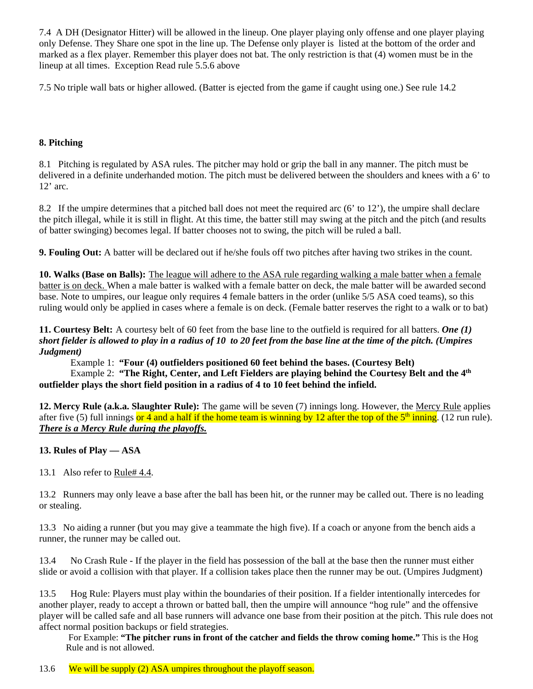7.4 A DH (Designator Hitter) will be allowed in the lineup. One player playing only offense and one player playing only Defense. They Share one spot in the line up. The Defense only player is listed at the bottom of the order and marked as a flex player. Remember this player does not bat. The only restriction is that (4) women must be in the lineup at all times. Exception Read rule 5.5.6 above

7.5 No triple wall bats or higher allowed. (Batter is ejected from the game if caught using one.) See rule 14.2

## **8. Pitching**

8.1 Pitching is regulated by ASA rules. The pitcher may hold or grip the ball in any manner. The pitch must be delivered in a definite underhanded motion. The pitch must be delivered between the shoulders and knees with a 6' to 12' arc.

8.2 If the umpire determines that a pitched ball does not meet the required arc (6' to 12'), the umpire shall declare the pitch illegal, while it is still in flight. At this time, the batter still may swing at the pitch and the pitch (and results of batter swinging) becomes legal. If batter chooses not to swing, the pitch will be ruled a ball.

**9. Fouling Out:** A batter will be declared out if he/she fouls off two pitches after having two strikes in the count.

**10. Walks (Base on Balls):** The league will adhere to the ASA rule regarding walking a male batter when a female batter is on deck. When a male batter is walked with a female batter on deck, the male batter will be awarded second base. Note to umpires, our league only requires 4 female batters in the order (unlike 5/5 ASA coed teams), so this ruling would only be applied in cases where a female is on deck. (Female batter reserves the right to a walk or to bat)

**11. Courtesy Belt:** A courtesy belt of 60 feet from the base line to the outfield is required for all batters. *One (1) short fielder is allowed to play in a radius of 10 to 20 feet from the base line at the time of the pitch. (Umpires Judgment)* 

Example 1: **"Four (4) outfielders positioned 60 feet behind the bases. (Courtesy Belt)** 

Example 2: **"The Right, Center, and Left Fielders are playing behind the Courtesy Belt and the 4<sup>th</sup> outfielder plays the short field position in a radius of 4 to 10 feet behind the infield.** 

**12. Mercy Rule (a.k.a. Slaughter Rule):** The game will be seven (7) innings long. However, the Mercy Rule applies after five (5) full innings or 4 and a half if the home team is winning by 12 after the top of the  $5<sup>th</sup>$  inning. (12 run rule). *There is a Mercy Rule during the playoffs.* 

## **13. Rules of Play — ASA**

13.1 Also refer to Rule# 4.4.

13.2 Runners may only leave a base after the ball has been hit, or the runner may be called out. There is no leading or stealing.

13.3 No aiding a runner (but you may give a teammate the high five). If a coach or anyone from the bench aids a runner, the runner may be called out.

13.4 No Crash Rule - If the player in the field has possession of the ball at the base then the runner must either slide or avoid a collision with that player. If a collision takes place then the runner may be out. (Umpires Judgment)

13.5 Hog Rule: Players must play within the boundaries of their position. If a fielder intentionally intercedes for another player, ready to accept a thrown or batted ball, then the umpire will announce "hog rule" and the offensive player will be called safe and all base runners will advance one base from their position at the pitch. This rule does not affect normal position backups or field strategies.

For Example: **"The pitcher runs in front of the catcher and fields the throw coming home."** This is the Hog Rule and is not allowed.